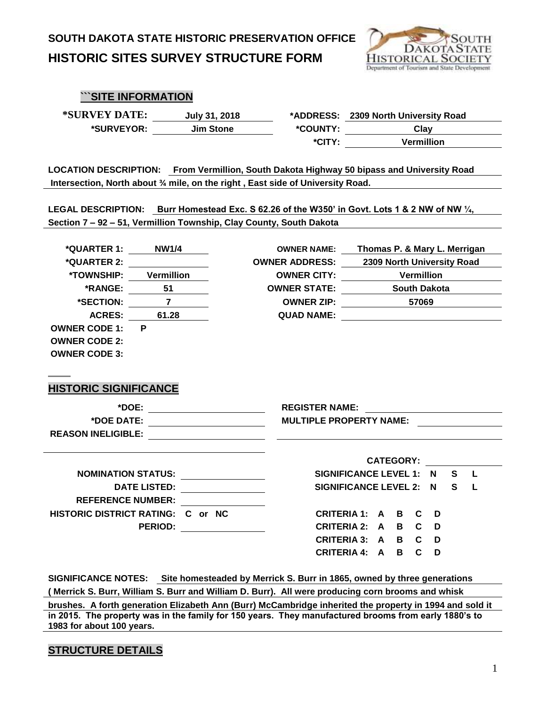

#### **```SITE INFORMATION**

**\*SURVEY DATE: July 31, 2018** 

 $*$ **SURVEYOR: Jim Stone** 

|          | *ADDRESS: 2309 North University Road |  |  |  |
|----------|--------------------------------------|--|--|--|
| *COUNTY: | Clay                                 |  |  |  |
| *CITY:   | <b>Vermillion</b>                    |  |  |  |
|          |                                      |  |  |  |

**LOCATION DESCRIPTION: From Vermillion, South Dakota Highway 50 bipass and University Road Intersection, North about ¾ mile, on the right , East side of University Road.** 

**LEGAL DESCRIPTION: Burr Homestead Exc. S 62.26 of the W350' in Govt. Lots 1 & 2 NW of NW ¼, Section 7 – 92 – 51, Vermillion Township, Clay County, South Dakota**

| *QUARTER 1:                       | <b>NW1/4</b>              |  | <b>OWNER NAME:</b>             |                              |                |                             |       |                            |    | Thomas P. & Mary L. Merrigan |
|-----------------------------------|---------------------------|--|--------------------------------|------------------------------|----------------|-----------------------------|-------|----------------------------|----|------------------------------|
| *QUARTER 2:                       |                           |  | <b>OWNER ADDRESS:</b>          |                              |                |                             |       | 2309 North University Road |    |                              |
| *TOWNSHIP:                        | <b>Vermillion</b>         |  | <b>OWNER CITY:</b>             |                              |                | <b>Example 1 Vermillion</b> |       |                            |    |                              |
| *RANGE:                           | 51                        |  | <b>OWNER STATE:</b>            |                              |                |                             |       | <b>South Dakota</b>        |    |                              |
| *SECTION:                         | $\overline{7}$            |  | <b>OWNER ZIP:</b>              |                              |                |                             | 57069 |                            |    |                              |
| <b>ACRES:</b>                     | 61.28                     |  | <b>QUAD NAME:</b>              |                              |                |                             |       |                            |    |                              |
| <b>OWNER CODE 1:</b>              | P                         |  |                                |                              |                |                             |       |                            |    |                              |
| <b>OWNER CODE 2:</b>              |                           |  |                                |                              |                |                             |       |                            |    |                              |
| <b>OWNER CODE 3:</b>              |                           |  |                                |                              |                |                             |       |                            |    |                              |
|                                   |                           |  |                                |                              |                |                             |       |                            |    |                              |
|                                   |                           |  |                                |                              |                |                             |       |                            |    |                              |
| <b>HISTORIC SIGNIFICANCE</b>      |                           |  |                                |                              |                |                             |       |                            |    |                              |
|                                   | *DOE:                     |  | <b>REGISTER NAME:</b>          |                              |                |                             |       |                            |    |                              |
| *DOE DATE:                        |                           |  | <b>MULTIPLE PROPERTY NAME:</b> |                              |                |                             |       |                            |    |                              |
| <b>REASON INELIGIBLE:</b>         |                           |  |                                |                              |                |                             |       |                            |    |                              |
|                                   |                           |  |                                |                              |                |                             |       |                            |    |                              |
|                                   |                           |  |                                |                              |                | <b>CATEGORY:</b>            |       |                            |    |                              |
|                                   | <b>NOMINATION STATUS:</b> |  |                                | SIGNIFICANCE LEVEL 1: N      |                |                             |       |                            | S. | L                            |
|                                   | <b>DATE LISTED:</b>       |  |                                | <b>SIGNIFICANCE LEVEL 2:</b> |                |                             |       | N                          | S  | L                            |
| <b>REFERENCE NUMBER:</b>          |                           |  |                                |                              |                |                             |       |                            |    |                              |
| HISTORIC DISTRICT RATING: C or NC |                           |  |                                | <b>CRITERIA 1:</b>           | $\overline{A}$ | B                           | C.    | D                          |    |                              |
|                                   | <b>PERIOD:</b>            |  | <b>CRITERIA 2:</b>             |                              | A              | B                           | C.    | D                          |    |                              |
|                                   |                           |  |                                | <b>CRITERIA 3: A</b>         |                | B                           | C.    | D                          |    |                              |
|                                   |                           |  | <b>CRITERIA 4:</b>             |                              | A              | В                           | C     | D                          |    |                              |

**SIGNIFICANCE NOTES: Site homesteaded by Merrick S. Burr in 1865, owned by three generations**

**( Merrick S. Burr, William S. Burr and William D. Burr). All were producing corn brooms and whisk** 

**brushes. A forth generation Elizabeth Ann (Burr) McCambridge inherited the property in 1994 and sold it in 2015. The property was in the family for 150 years. They manufactured brooms from early 1880's to 1983 for about 100 years.**

#### **STRUCTURE DETAILS**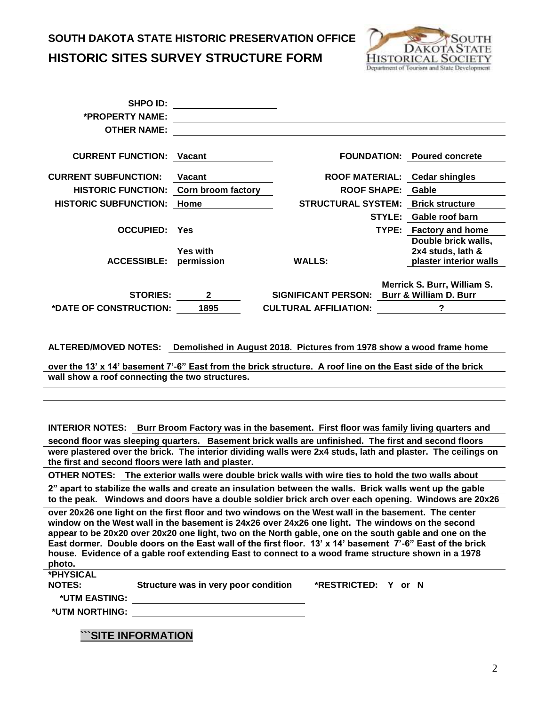

| <b>SHPO ID:</b>              |                               |                              |               |                                                                    |
|------------------------------|-------------------------------|------------------------------|---------------|--------------------------------------------------------------------|
| *PROPERTY NAME:              |                               |                              |               |                                                                    |
| <b>OTHER NAME:</b>           |                               |                              |               |                                                                    |
|                              |                               |                              |               |                                                                    |
| <b>CURRENT FUNCTION:</b>     | Vacant                        | <b>FOUNDATION:</b>           |               | <b>Poured concrete</b>                                             |
| <b>CURRENT SUBFUNCTION:</b>  | <b>Vacant</b>                 |                              |               | ROOF MATERIAL: Cedar shingles                                      |
| <b>HISTORIC FUNCTION:</b>    | Corn broom factory            | <b>ROOF SHAPE:</b>           |               | Gable                                                              |
| <b>HISTORIC SUBFUNCTION:</b> | Home                          | <b>STRUCTURAL SYSTEM:</b>    |               | <b>Brick structure</b>                                             |
|                              |                               |                              | <b>STYLE:</b> | Gable roof barn                                                    |
| <b>OCCUPIED:</b>             | Yes                           |                              | TYPE:         | <b>Factory and home</b>                                            |
| <b>ACCESSIBLE:</b>           | <b>Yes with</b><br>permission | <b>WALLS:</b>                |               | Double brick walls,<br>2x4 studs, lath &<br>plaster interior walls |
| <b>STORIES:</b>              | 2                             | <b>SIGNIFICANT PERSON:</b>   |               | Merrick S. Burr, William S.<br>Burr & William D. Burr              |
| *DATE OF CONSTRUCTION:       | 1895                          | <b>CULTURAL AFFILIATION:</b> |               | ?                                                                  |
|                              |                               |                              |               |                                                                    |

**ALTERED/MOVED NOTES: Demolished in August 2018. Pictures from 1978 show a wood frame home**

**over the 13' x 14' basement 7'-6" East from the brick structure. A roof line on the East side of the brick wall show a roof connecting the two structures.**

**INTERIOR NOTES: Burr Broom Factory was in the basement. First floor was family living quarters and** 

**second floor was sleeping quarters. Basement brick walls are unfinished. The first and second floors were plastered over the brick. The interior dividing walls were 2x4 studs, lath and plaster. The ceilings on the first and second floors were lath and plaster.**

**OTHER NOTES: The exterior walls were double brick walls with wire ties to hold the two walls about** 

**2" apart to stabilize the walls and create an insulation between the walls. Brick walls went up the gable to the peak. Windows and doors have a double soldier brick arch over each opening. Windows are 20x26 over 20x26 one light on the first floor and two windows on the West wall in the basement. The center** 

**window on the West wall in the basement is 24x26 over 24x26 one light. The windows on the second appear to be 20x20 over 20x20 one light, two on the North gable, one on the south gable and one on the East dormer. Double doors on the East wall of the first floor. 13' x 14' basement 7'-6" East of the brick house. Evidence of a gable roof extending East to connect to a wood frame structure shown in a 1978 photo.**

**\*PHYSICAL** 

**NOTES: Structure was in very poor condition \*RESTRICTED: Y or N**

**\*UTM EASTING:**

**\*UTM NORTHING:**

**```SITE INFORMATION**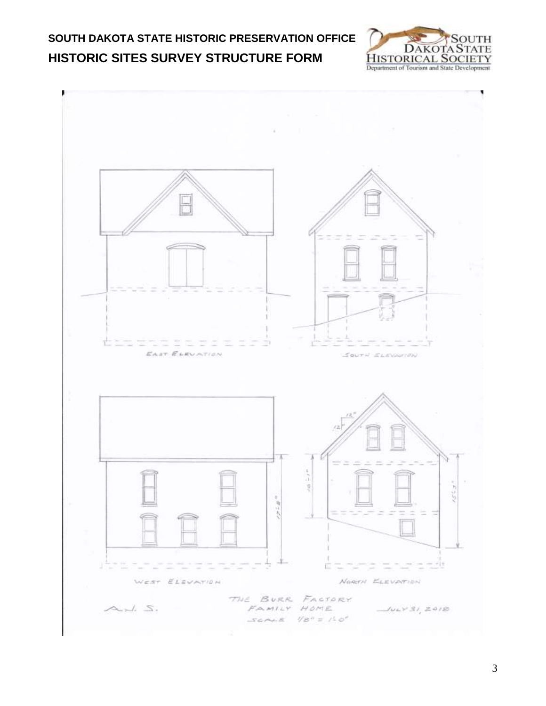

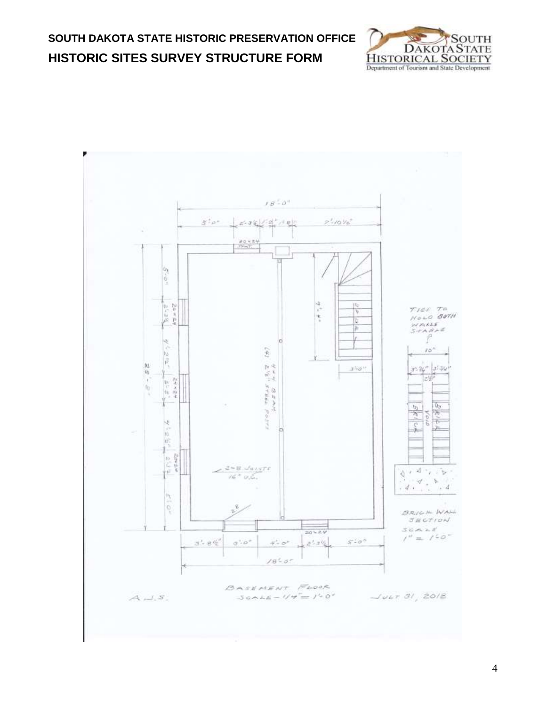



4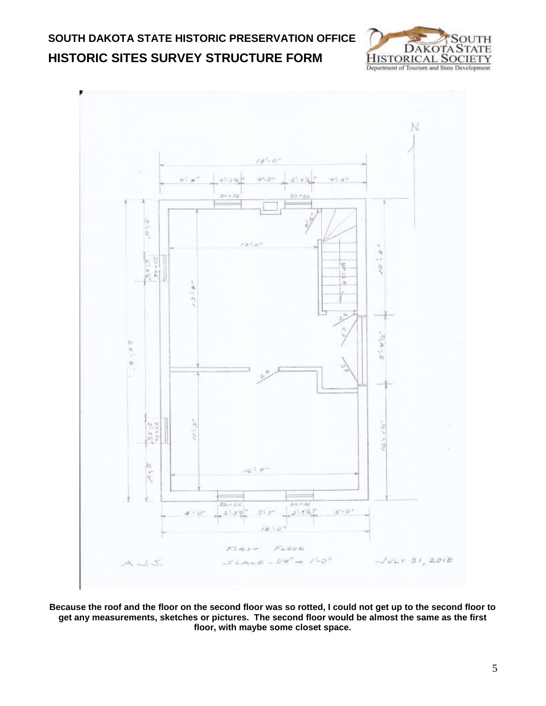



**Because the roof and the floor on the second floor was so rotted, I could not get up to the second floor to get any measurements, sketches or pictures. The second floor would be almost the same as the first floor, with maybe some closet space.**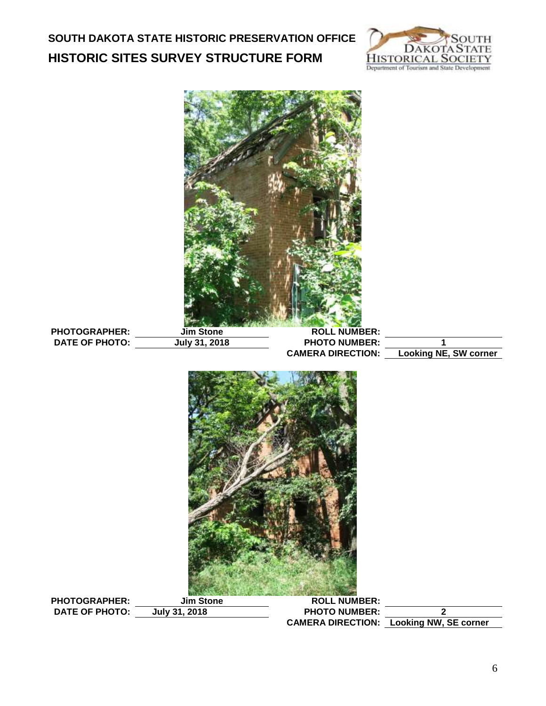

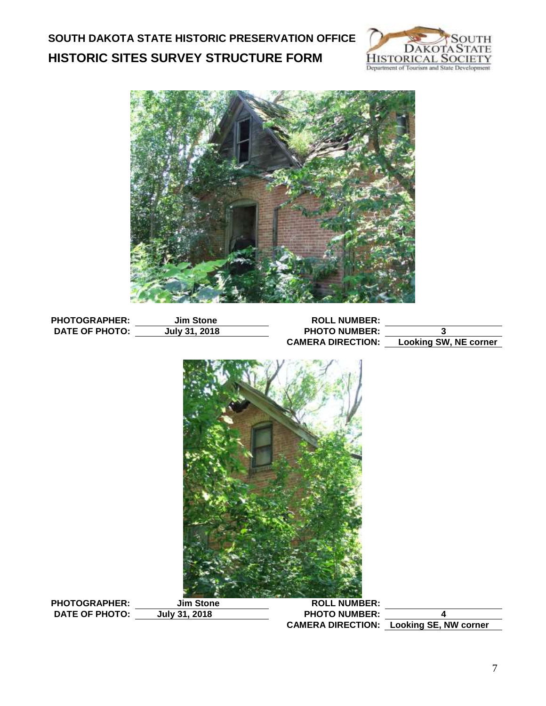



| <b>PHOTOGRAPHER:</b>                          | <b>Jim Stone</b>                  | <b>ROLL NUMBER:</b>                         |                                                |
|-----------------------------------------------|-----------------------------------|---------------------------------------------|------------------------------------------------|
| <b>DATE OF PHOTO:</b>                         | July 31, 2018                     | <b>PHOTO NUMBER:</b>                        | 3                                              |
|                                               |                                   | <b>CAMERA DIRECTION:</b>                    | <b>Looking SW, NE corner</b>                   |
|                                               |                                   |                                             |                                                |
| <b>PHOTOGRAPHER:</b><br><b>DATE OF PHOTO:</b> | <b>Jim Stone</b><br>July 31, 2018 | <b>ROLL NUMBER:</b><br><b>PHOTO NUMBER:</b> | 4                                              |
|                                               |                                   |                                             |                                                |
|                                               |                                   |                                             | <b>CAMERA DIRECTION:</b> Looking SE, NW corner |
|                                               |                                   |                                             |                                                |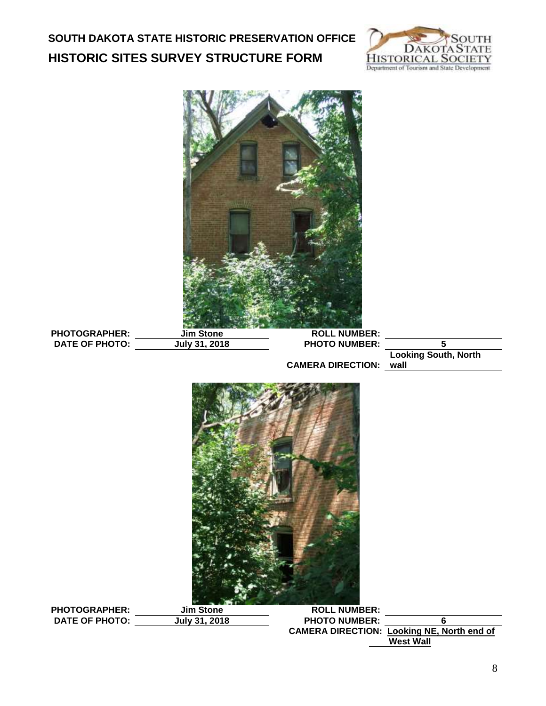

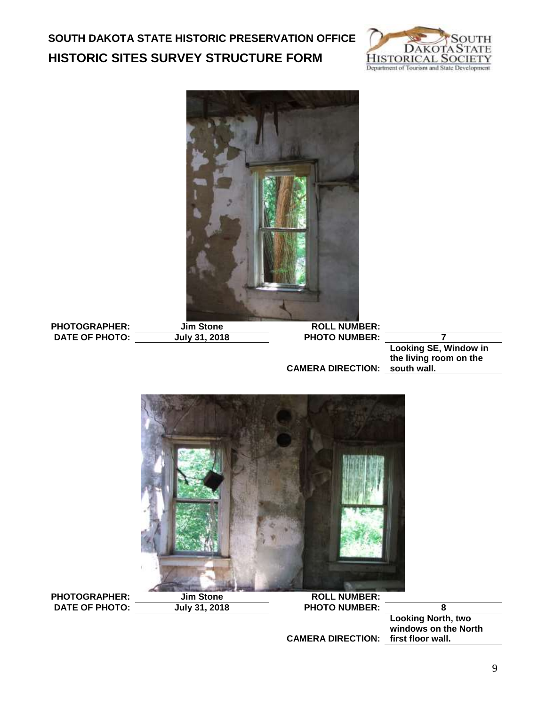



PHOTOGRAPHER: Jim Stone ROLL NUMBER:<br>
DATE OF PHOTO: July 31, 2018 PHOTO NUMBER: **DATE OF PHOTO: July 31, 2018 PHOTO NUMBER: 7**

**CAMERA DIRECTION: south wall. Looking SE, Window in the living room on the** 

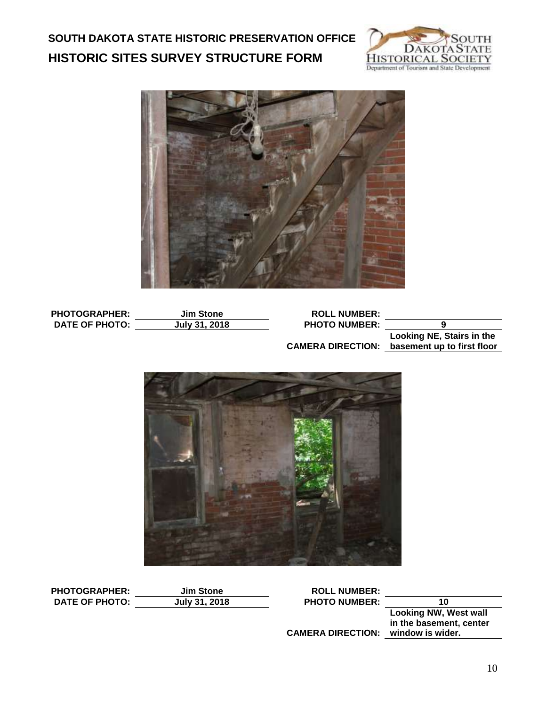



| <b>PHOTOGRAPHER:</b>  | <b>Jim Stone</b> | <b>ROLL NUMBER:</b>  |                          |
|-----------------------|------------------|----------------------|--------------------------|
| <b>DATE OF PHOTO:</b> | July 31, 2018    | <b>PHOTO NUMBER:</b> |                          |
|                       |                  |                      | Looking NE Stairs in the |

**CAMERA DIRECTION: basement up to first floor Looking NE, Stairs in the** 



| <b>PHOTOGRAPHER:</b>  | <b>Jim Stone</b> | <b>ROLL NUMBER:</b>      |                         |
|-----------------------|------------------|--------------------------|-------------------------|
| <b>DATE OF PHOTO:</b> | July 31, 2018    | <b>PHOTO NUMBER:</b>     | 10                      |
|                       |                  |                          | Looking NW, West wall   |
|                       |                  |                          | in the basement, center |
|                       |                  | <b>CAMERA DIRECTION:</b> | window is wider.        |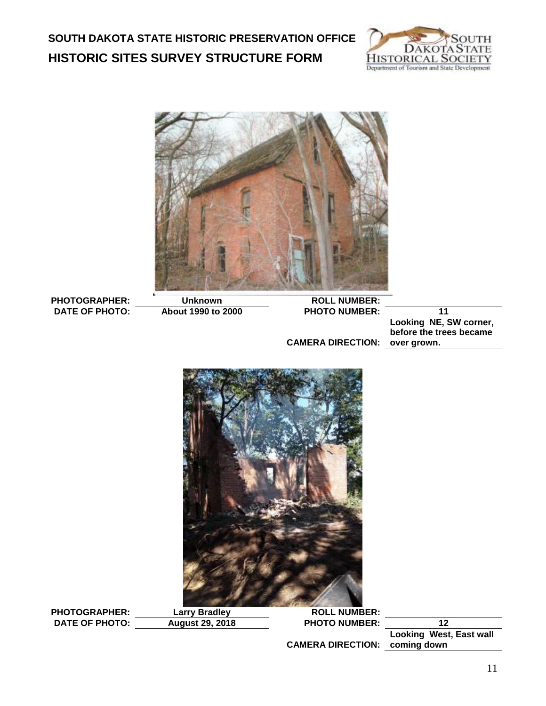



PHOTOGRAPHER: Unknown ROLL NUMBER:<br>DATE OF PHOTO: About 1990 to 2000 PHOTO NUMBER: **DATE OF PHOTO: About 1990 to 2000 PHOTO NUMBER: 11**

**Looking NE, SW corner, before the trees became** 

**CAMERA DIRECTION: over grown.**



PHOTOGRAPHER: Larry Bradley ROLL NUMBER:<br>DATE OF PHOTO: August 29, 2018 PHOTO NUMBER: **DATE OF PHOTO: August 29, 2018 PHOTO NUMBER: 12**

**CAMERA DIRECTION: coming down**

**Looking West, East wall**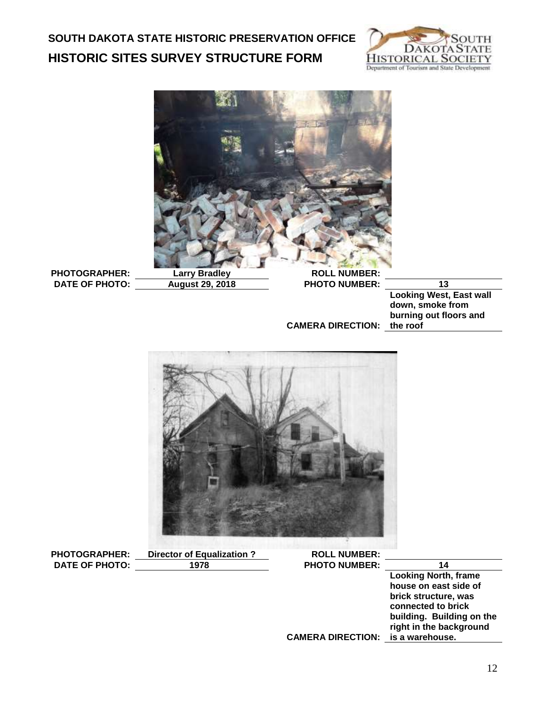



**DATE OF PHOTO: August 29, 2018 PHOTO NUMBER: 13**

**CAMERA DIRECTION: the roof Looking West, East wall down, smoke from burning out floors and** 



**PHOTOGRAPHER:** Director of Equalization ? ROLL NUMBER:<br>DATE OF PHOTO: 1978 PHOTO NUMBER: **DATE OF PHOTO:** 1978 **PHOTO NUMBER:** 14

**CAMERA DIRECTION: is a warehouse. Looking North, frame house on east side of brick structure, was connected to brick building. Building on the right in the background** 

12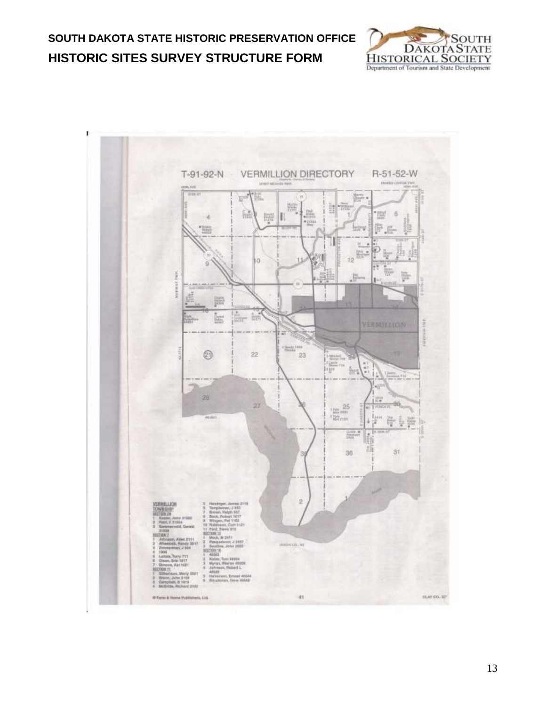



13